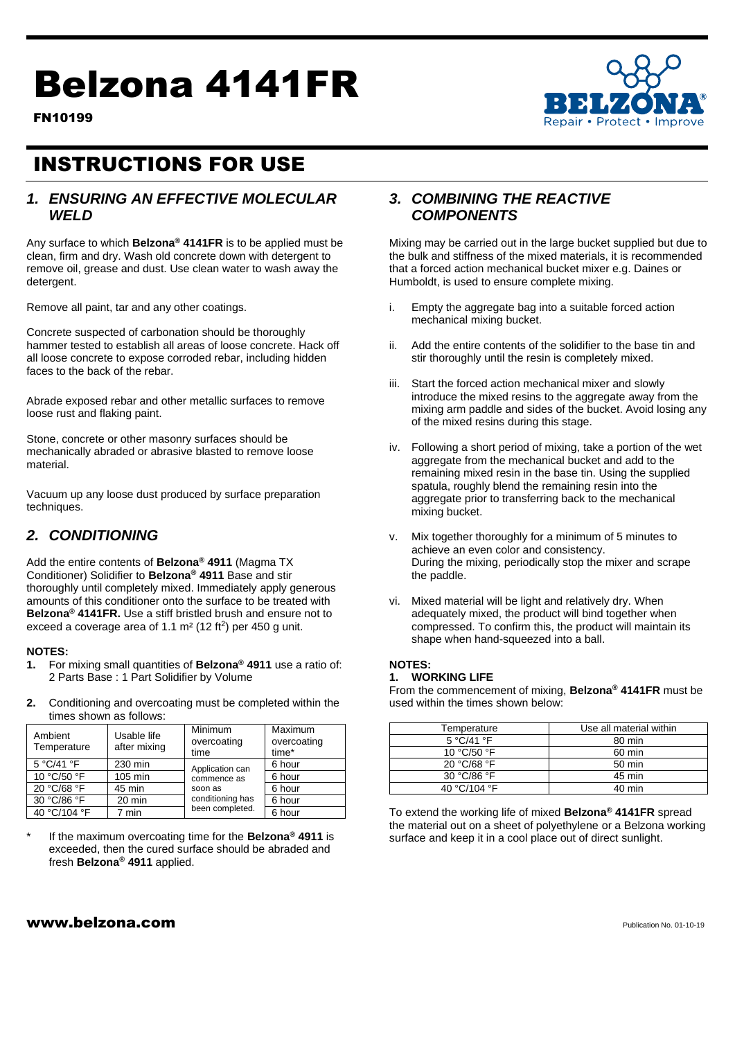# Belzona 4141FR





FN10199

## INSTRUCTIONS FOR USE

## **1. ENSURING AN EFFECTIVE MOLECULAR** *WELD*

Any surface to which **Belzona® 4141FR** is to be applied must be clean, firm and dry. Wash old concrete down with detergent to remove oil, grease and dust. Use clean water to wash away the detergent.

Remove all paint, tar and any other coatings.

Concrete suspected of carbonation should be thoroughly hammer tested to establish all areas of loose concrete. Hack off all loose concrete to expose corroded rebar, including hidden faces to the back of the rebar.

Abrade exposed rebar and other metallic surfaces to remove loose rust and flaking paint.

Stone, concrete or other masonry surfaces should be mechanically abraded or abrasive blasted to remove loose material.

Vacuum up any loose dust produced by surface preparation techniques.

## *2. CONDITIONING*

Add the entire contents of **Belzona® 4911** (Magma TX Conditioner) Solidifier to **Belzona® 4911** Base and stir thoroughly until completely mixed. Immediately apply generous amounts of this conditioner onto the surface to be treated with **Belzona® 4141FR.** Use a stiff bristled brush and ensure not to exceed a coverage area of 1.1  $m<sup>2</sup>$  (12 ft<sup>2</sup>) per 450 g unit.

### **NOTES:**

- **1.** For mixing small quantities of **Belzona® 4911** use a ratio of: 2 Parts Base : 1 Part Solidifier by Volume
- **2.** Conditioning and overcoating must be completed within the times shown as follows:

| Ambient<br>Temperature | Usable life<br>after mixing | Minimum<br>overcoating<br>time                                                   | Maximum<br>overcoating<br>time* |
|------------------------|-----------------------------|----------------------------------------------------------------------------------|---------------------------------|
| 5 °C/41 °F             | 230 min                     | Application can<br>commence as<br>soon as<br>conditioning has<br>been completed. | 6 hour                          |
| 10 °C/50 °F            | 105 min                     |                                                                                  | 6 hour                          |
| 20 °C/68 °F            | 45 min                      |                                                                                  | 6 hour                          |
| 30 °C/86 °F            | 20 min                      |                                                                                  | 6 hour                          |
| 40 °C/104 °F           | 7 min                       |                                                                                  | 6 hour                          |

\* If the maximum overcoating time for the **Belzona® 4911** is exceeded, then the cured surface should be abraded and fresh **Belzona® 4911** applied.

## *3. COMBINING THE REACTIVE COMPONENTS*

Mixing may be carried out in the large bucket supplied but due to the bulk and stiffness of the mixed materials, it is recommended that a forced action mechanical bucket mixer e.g. Daines or Humboldt, is used to ensure complete mixing.

- i. Empty the aggregate bag into a suitable forced action mechanical mixing bucket.
- ii. Add the entire contents of the solidifier to the base tin and stir thoroughly until the resin is completely mixed.
- iii. Start the forced action mechanical mixer and slowly introduce the mixed resins to the aggregate away from the mixing arm paddle and sides of the bucket. Avoid losing any of the mixed resins during this stage.
- iv. Following a short period of mixing, take a portion of the wet aggregate from the mechanical bucket and add to the remaining mixed resin in the base tin. Using the supplied spatula, roughly blend the remaining resin into the aggregate prior to transferring back to the mechanical mixing bucket.
- v. Mix together thoroughly for a minimum of 5 minutes to achieve an even color and consistency. During the mixing, periodically stop the mixer and scrape the paddle.
- vi. Mixed material will be light and relatively dry. When adequately mixed, the product will bind together when compressed. To confirm this, the product will maintain its shape when hand-squeezed into a ball.

## **NOTES:**

### **1. WORKING LIFE**

From the commencement of mixing, **Belzona® 4141FR** must be used within the times shown below:

| Temperature                   | Use all material within |
|-------------------------------|-------------------------|
| $5^{\circ}$ C/41 $^{\circ}$ F | 80 min                  |
| 10 °C/50 °F                   | 60 min                  |
| 20 °C/68 °F                   | 50 min                  |
| 30 °C/86 °F                   | 45 min                  |
| 40 °C/104 °F                  | 40 min                  |

To extend the working life of mixed **Belzona® 4141FR** spread the material out on a sheet of polyethylene or a Belzona working surface and keep it in a cool place out of direct sunlight.

## $www.beIzona.com$